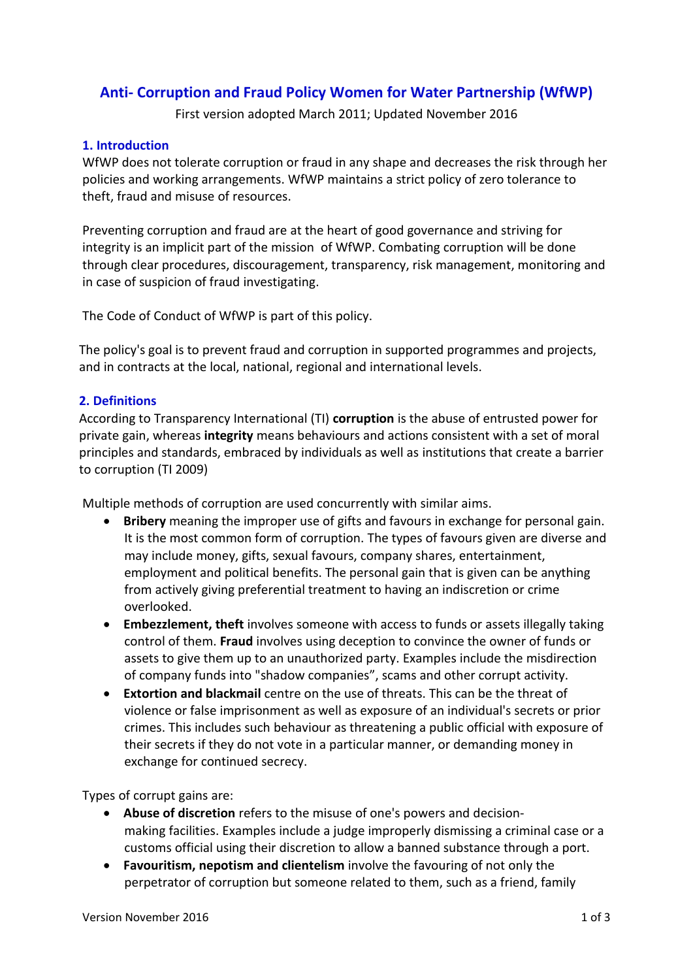# **Anti- Corruption and Fraud Policy Women for Water Partnership (WfWP)**

First version adopted March 2011; Updated November 2016

#### **1. Introduction**

WfWP does not tolerate corruption or fraud in any shape and decreases the risk through her policies and working arrangements. WfWP maintains a strict policy of zero tolerance to theft, fraud and misuse of resources.

Preventing corruption and fraud are at the heart of good governance and striving for integrity is an implicit part of the mission of WfWP. Combating corruption will be done through clear procedures, discouragement, transparency, risk management, monitoring and in case of suspicion of fraud investigating.

The Code of Conduct of WfWP is part of this policy.

The policy's goal is to prevent fraud and corruption in supported programmes and projects, and in contracts at the local, national, regional and international levels.

### **2. Definitions**

According to Transparency International (TI) **corruption** is the abuse of entrusted power for private gain, whereas **integrity** means behaviours and actions consistent with a set of moral principles and standards, embraced by individuals as well as institutions that create a barrier to corruption (TI 2009)

Multiple methods of corruption are used concurrently with similar aims.

- **Bribery** meaning the improper use of gifts and favours in exchange for personal gain. It is the most common form of corruption. The types of favours given are diverse and may include money, gifts, sexual favours, company shares, entertainment, employment and political benefits. The personal gain that is given can be anything from actively giving preferential treatment to having an indiscretion or crime overlooked.
- **Embezzlement, theft** involves someone with access to funds or assets illegally taking control of them. **[Fraud](https://en.wikipedia.org/wiki/Fraud)** involves using deception to convince the owner of funds or assets to give them up to an unauthorized party. Examples include the misdirection of company funds into "shadow companies", scams and other corrupt activity.
- **Extortion and blackmail** centre on the use of threats. This can be the threat of violence or false imprisonment as well as exposure of an individual's secrets or prior crimes. This includes such behaviour as threatening a public official with exposure of their secrets if they do not vote in a particular manner, or demanding money in exchange for continued secrecy.

Types of corrupt gains are:

- **Abuse of discretion** refers to the misuse of one's powers and [decision](https://en.wikipedia.org/wiki/Decision-making)[making](https://en.wikipedia.org/wiki/Decision-making) facilities. Examples include a judge improperly dismissing a criminal case or a customs official using their discretion to allow a banned substance through a port.
- **Favouritism, nepotism and clientelism** involve the favouring of not only the perpetrator of corruption but someone related to them, such as a friend, family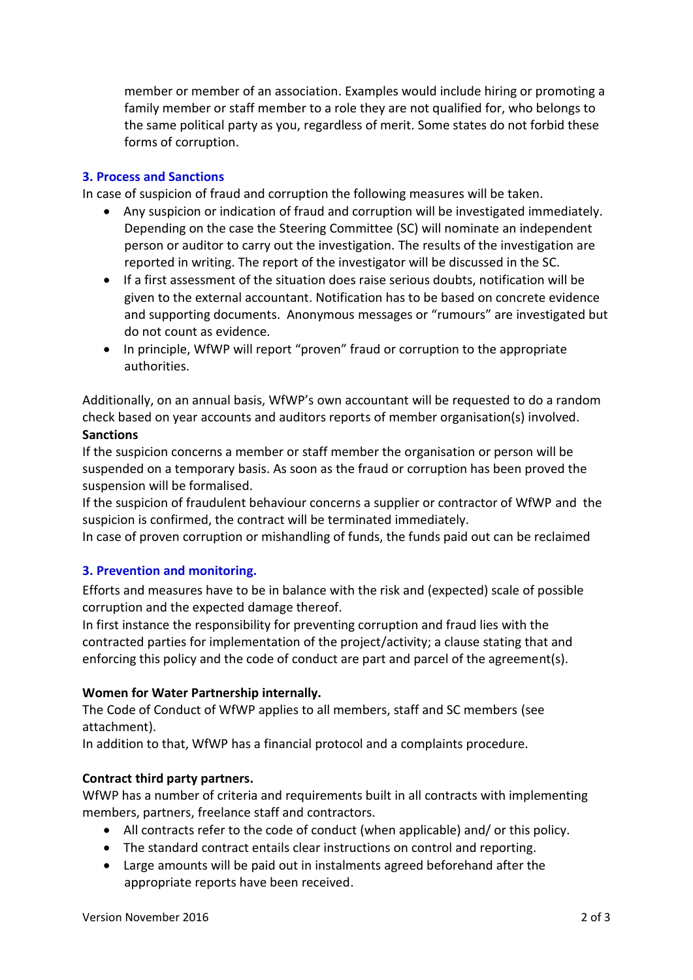member or member of an association. Examples would include hiring or promoting a family member or staff member to a role they are not qualified for, who belongs to the same political party as you, regardless of merit. Some states do not forbid these forms of corruption.

### **3. Process and Sanctions**

In case of suspicion of fraud and corruption the following measures will be taken.

- Any suspicion or indication of fraud and corruption will be investigated immediately. Depending on the case the Steering Committee (SC) will nominate an independent person or auditor to carry out the investigation. The results of the investigation are reported in writing. The report of the investigator will be discussed in the SC.
- If a first assessment of the situation does raise serious doubts, notification will be given to the external accountant. Notification has to be based on concrete evidence and supporting documents. Anonymous messages or "rumours" are investigated but do not count as evidence.
- In principle, WfWP will report "proven" fraud or corruption to the appropriate authorities.

Additionally, on an annual basis, WfWP's own accountant will be requested to do a random check based on year accounts and auditors reports of member organisation(s) involved. **Sanctions**

If the suspicion concerns a member or staff member the organisation or person will be suspended on a temporary basis. As soon as the fraud or corruption has been proved the suspension will be formalised.

If the suspicion of fraudulent behaviour concerns a supplier or contractor of WfWP and the suspicion is confirmed, the contract will be terminated immediately.

In case of proven corruption or mishandling of funds, the funds paid out can be reclaimed

# **3. Prevention and monitoring.**

Efforts and measures have to be in balance with the risk and (expected) scale of possible corruption and the expected damage thereof.

In first instance the responsibility for preventing corruption and fraud lies with the contracted parties for implementation of the project/activity; a clause stating that and enforcing this policy and the code of conduct are part and parcel of the agreement(s).

#### **Women for Water Partnership internally.**

The Code of Conduct of WfWP applies to all members, staff and SC members (see attachment).

In addition to that, WfWP has a financial protocol and a complaints procedure.

# **Contract third party partners.**

WfWP has a number of criteria and requirements built in all contracts with implementing members, partners, freelance staff and contractors.

- All contracts refer to the code of conduct (when applicable) and/ or this policy.
- The standard contract entails clear instructions on control and reporting.
- Large amounts will be paid out in instalments agreed beforehand after the appropriate reports have been received.